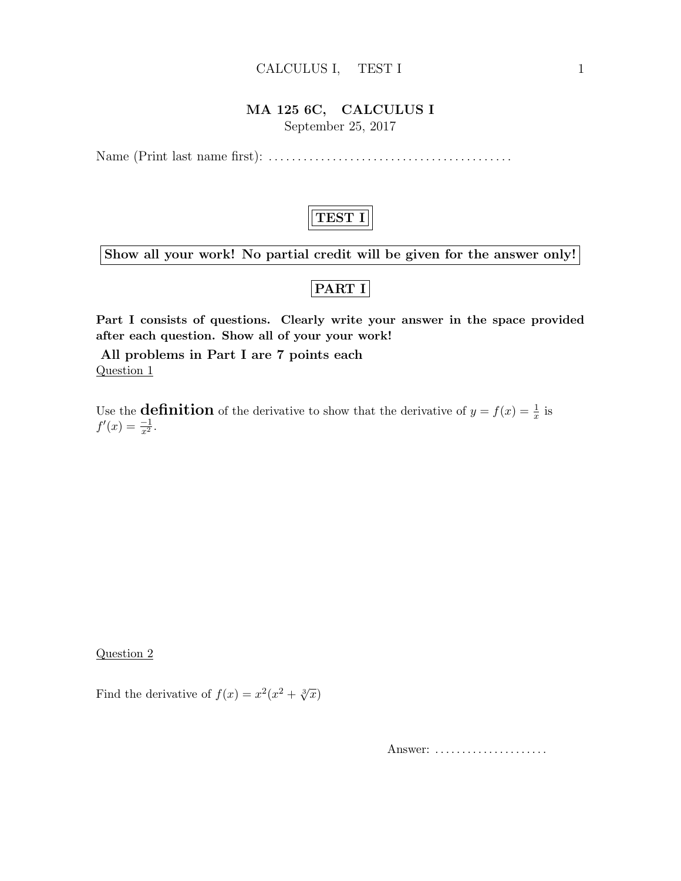#### CALCULUS I, TEST I 1

#### MA 125 6C, CALCULUS I

September 25, 2017

Name (Print last name first): . . . . . . . . . . . . . . . . . . . . . . . . . . . . . . . . . . . . . . . . . .



Show all your work! No partial credit will be given for the answer only!

## PART I

Part I consists of questions. Clearly write your answer in the space provided after each question. Show all of your your work!

All problems in Part I are 7 points each Question 1

Use the **definition** of the derivative to show that the derivative of  $y = f(x) = \frac{1}{x}$  is  $f'(x) = \frac{-1}{x^2}.$ 

Question 2

Find the derivative of  $f(x) = x^2(x^2 + \sqrt[3]{x})$ 

Answer: .....................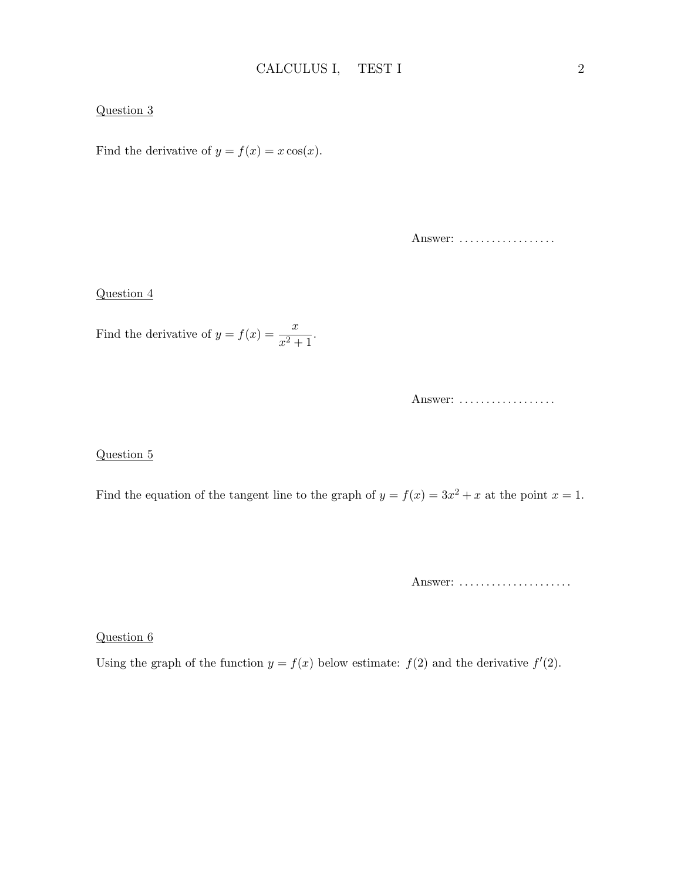#### Question 3

Find the derivative of  $y = f(x) = x \cos(x)$ .

Answer: ..................

#### Question 4

Find the derivative of  $y = f(x) = \frac{x}{x^2 + 1}$ .

Answer: ..................

#### Question 5

Find the equation of the tangent line to the graph of  $y = f(x) = 3x^2 + x$  at the point  $x = 1$ .

Answer: ......................

Question 6

Using the graph of the function  $y = f(x)$  below estimate:  $f(2)$  and the derivative  $f'(2)$ .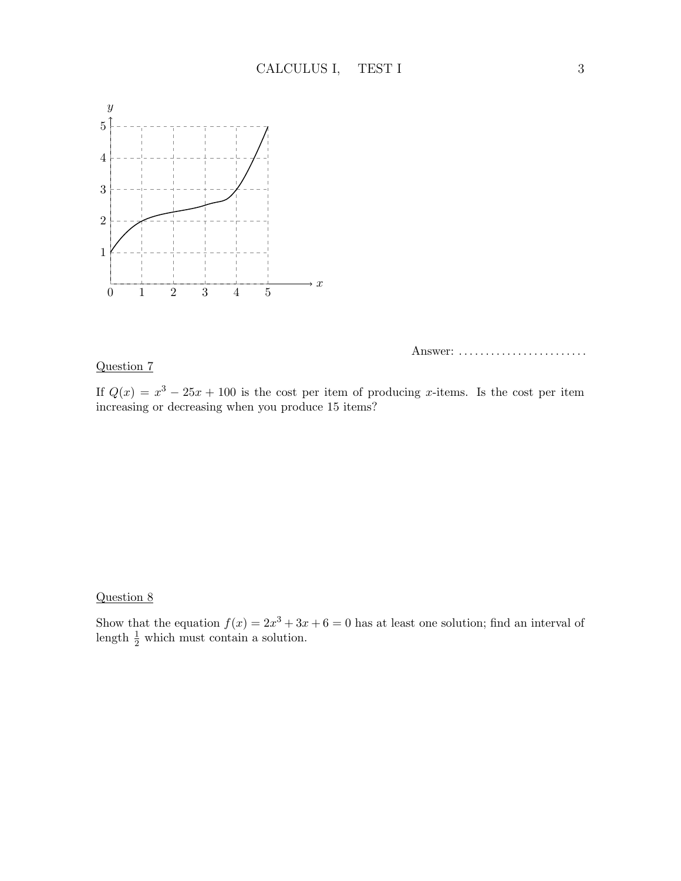

### Question 7

Answer: .........................

If  $Q(x) = x^3 - 25x + 100$  is the cost per item of producing x-items. Is the cost per item increasing or decreasing when you produce 15 items?

#### Question 8

Show that the equation  $f(x) = 2x^3 + 3x + 6 = 0$  has at least one solution; find an interval of length  $\frac{1}{2}$  which must contain a solution.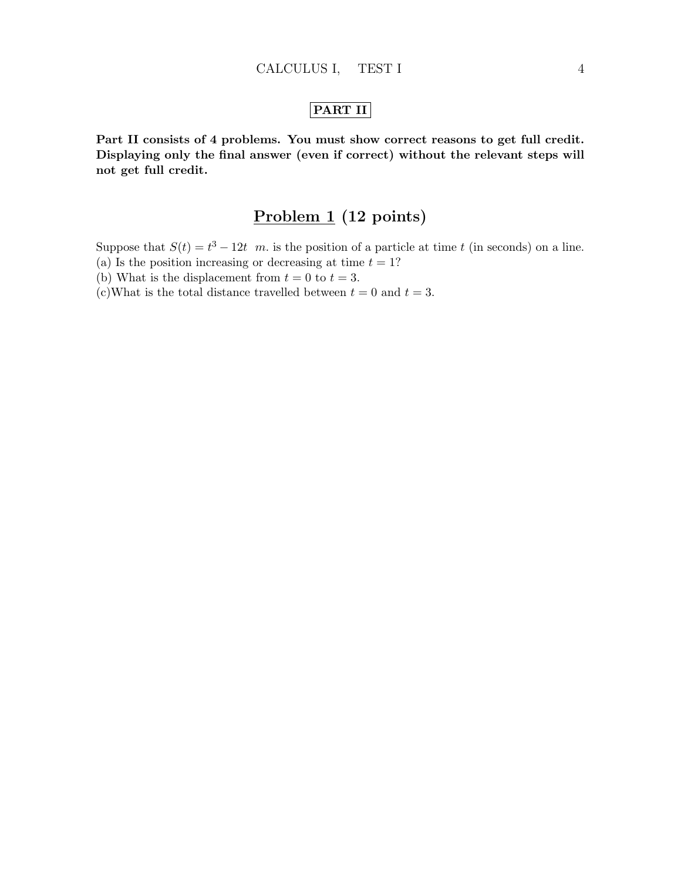## PART II

Part II consists of 4 problems. You must show correct reasons to get full credit. Displaying only the final answer (even if correct) without the relevant steps will not get full credit.

# Problem 1 (12 points)

Suppose that  $S(t) = t^3 - 12t$  m. is the position of a particle at time t (in seconds) on a line.

- (a) Is the position increasing or decreasing at time  $t = 1$ ?
- (b) What is the displacement from  $t = 0$  to  $t = 3$ .
- (c)What is the total distance travelled between  $t = 0$  and  $t = 3$ .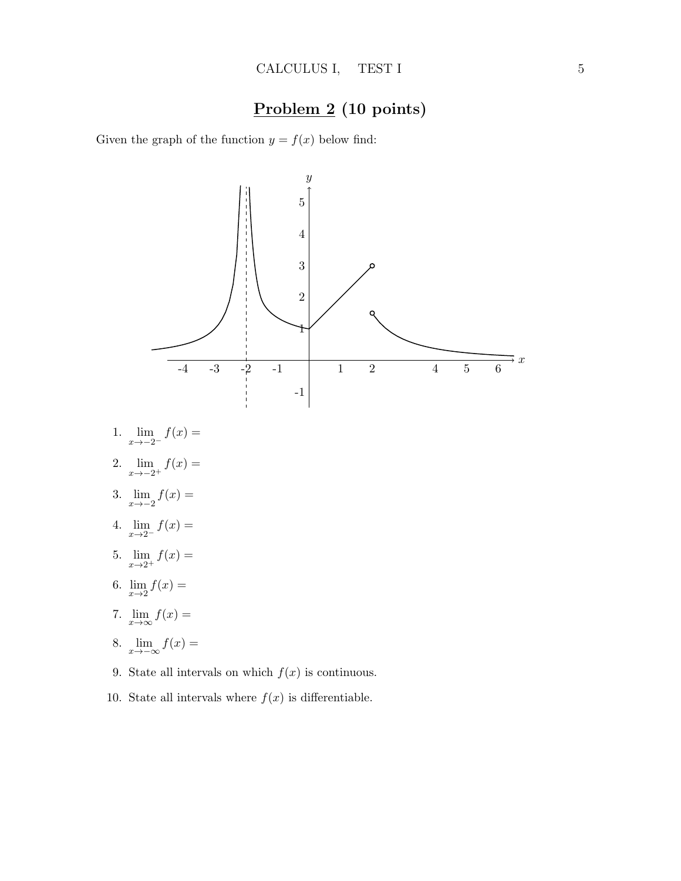# Problem 2 (10 points)

Given the graph of the function  $y = f(x)$  below find:



10. State all intervals where  $f(x)$  is differentiable.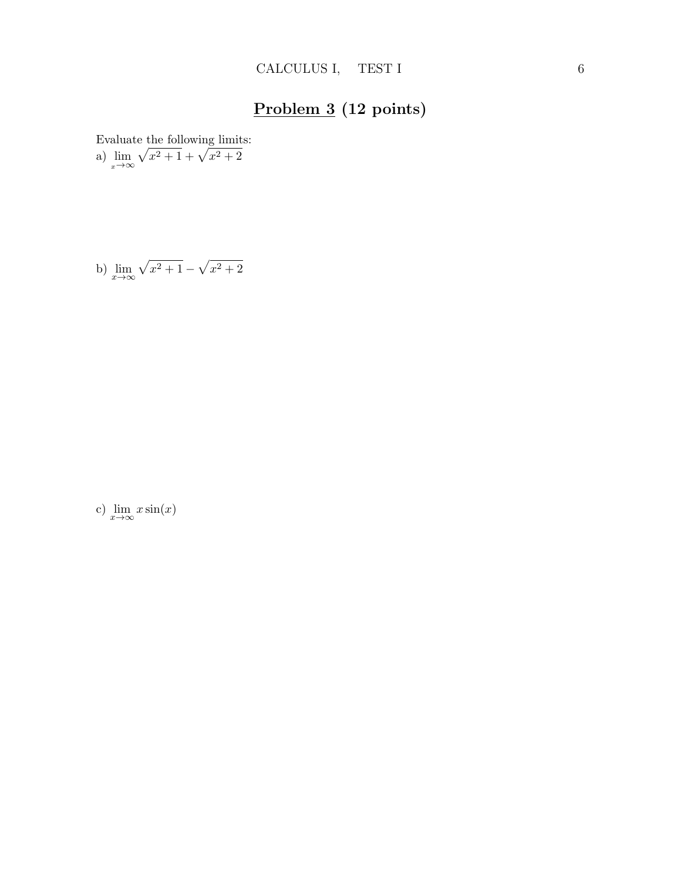# Problem 3 (12 points)

Evaluate the following limits:

a)  $\lim_{x \to \infty}$  $\sqrt{x^2+1} + \sqrt{x^2+2}$ 

b) 
$$
\lim_{x \to \infty} \sqrt{x^2 + 1} - \sqrt{x^2 + 2}
$$

c)  $\lim_{x \to \infty} x \sin(x)$